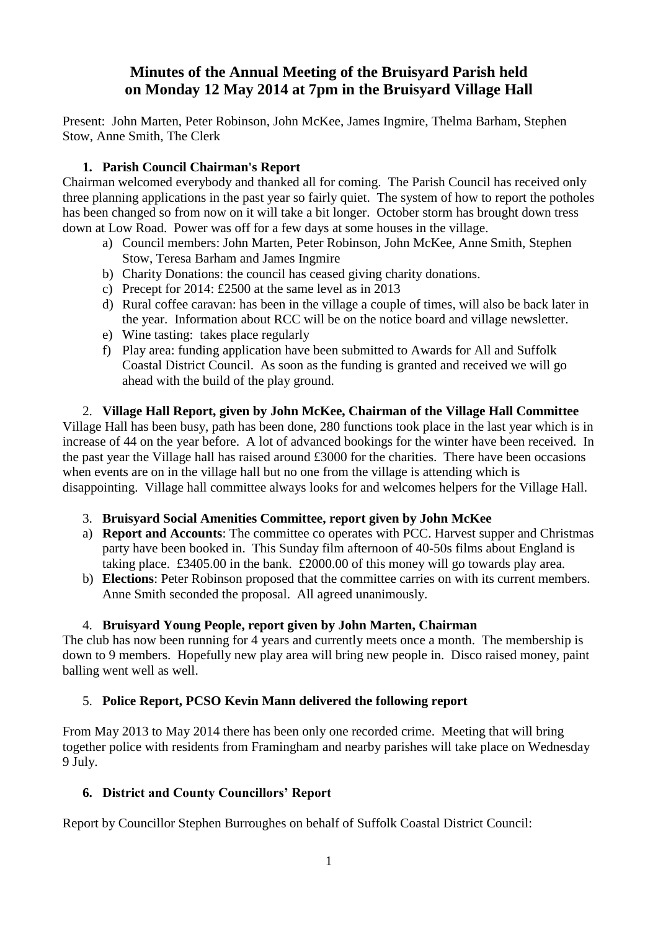# **Minutes of the Annual Meeting of the Bruisyard Parish held on Monday 12 May 2014 at 7pm in the Bruisyard Village Hall**

Present: John Marten, Peter Robinson, John McKee, James Ingmire, Thelma Barham, Stephen Stow, Anne Smith, The Clerk

# **1. Parish Council Chairman's Report**

Chairman welcomed everybody and thanked all for coming. The Parish Council has received only three planning applications in the past year so fairly quiet. The system of how to report the potholes has been changed so from now on it will take a bit longer. October storm has brought down tress down at Low Road. Power was off for a few days at some houses in the village.

- a) Council members: John Marten, Peter Robinson, John McKee, Anne Smith, Stephen Stow, Teresa Barham and James Ingmire
- b) Charity Donations: the council has ceased giving charity donations.
- c) Precept for 2014: £2500 at the same level as in 2013
- d) Rural coffee caravan: has been in the village a couple of times, will also be back later in the year. Information about RCC will be on the notice board and village newsletter.
- e) Wine tasting: takes place regularly
- f) Play area: funding application have been submitted to Awards for All and Suffolk Coastal District Council. As soon as the funding is granted and received we will go ahead with the build of the play ground.

2. **Village Hall Report, given by John McKee, Chairman of the Village Hall Committee** Village Hall has been busy, path has been done, 280 functions took place in the last year which is in increase of 44 on the year before. A lot of advanced bookings for the winter have been received. In the past year the Village hall has raised around £3000 for the charities. There have been occasions when events are on in the village hall but no one from the village is attending which is disappointing. Village hall committee always looks for and welcomes helpers for the Village Hall.

# 3. **Bruisyard Social Amenities Committee, report given by John McKee**

- a) **Report and Accounts**: The committee co operates with PCC. Harvest supper and Christmas party have been booked in. This Sunday film afternoon of 40-50s films about England is taking place. £3405.00 in the bank. £2000.00 of this money will go towards play area.
- b) **Elections**: Peter Robinson proposed that the committee carries on with its current members. Anne Smith seconded the proposal. All agreed unanimously.

# 4. **Bruisyard Young People, report given by John Marten, Chairman**

The club has now been running for 4 years and currently meets once a month. The membership is down to 9 members. Hopefully new play area will bring new people in. Disco raised money, paint balling went well as well.

# 5. **Police Report, PCSO Kevin Mann delivered the following report**

From May 2013 to May 2014 there has been only one recorded crime. Meeting that will bring together police with residents from Framingham and nearby parishes will take place on Wednesday 9 July.

# **6. District and County Councillors' Report**

Report by Councillor Stephen Burroughes on behalf of Suffolk Coastal District Council: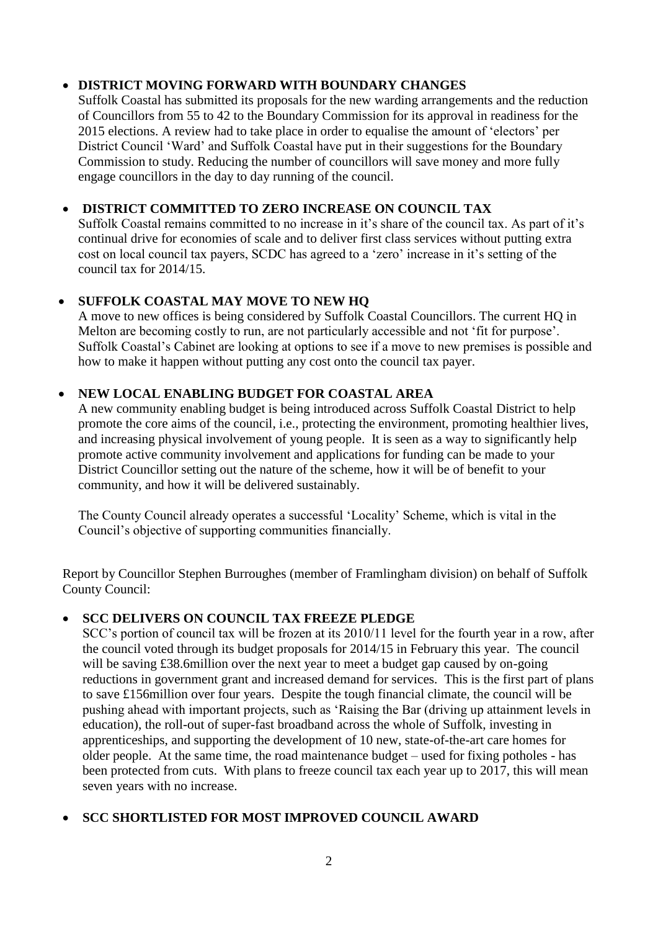## **DISTRICT MOVING FORWARD WITH BOUNDARY CHANGES**

Suffolk Coastal has submitted its proposals for the new warding arrangements and the reduction of Councillors from 55 to 42 to the Boundary Commission for its approval in readiness for the 2015 elections. A review had to take place in order to equalise the amount of 'electors' per District Council 'Ward' and Suffolk Coastal have put in their suggestions for the Boundary Commission to study. Reducing the number of councillors will save money and more fully engage councillors in the day to day running of the council.

# **DISTRICT COMMITTED TO ZERO INCREASE ON COUNCIL TAX**

Suffolk Coastal remains committed to no increase in it's share of the council tax. As part of it's continual drive for economies of scale and to deliver first class services without putting extra cost on local council tax payers, SCDC has agreed to a 'zero' increase in it's setting of the council tax for 2014/15.

# **SUFFOLK COASTAL MAY MOVE TO NEW HQ**

A move to new offices is being considered by Suffolk Coastal Councillors. The current HQ in Melton are becoming costly to run, are not particularly accessible and not 'fit for purpose'. Suffolk Coastal's Cabinet are looking at options to see if a move to new premises is possible and how to make it happen without putting any cost onto the council tax payer.

## **NEW LOCAL ENABLING BUDGET FOR COASTAL AREA**

A new community enabling budget is being introduced across Suffolk Coastal District to help promote the core aims of the council, i.e., protecting the environment, promoting healthier lives, and increasing physical involvement of young people. It is seen as a way to significantly help promote active community involvement and applications for funding can be made to your District Councillor setting out the nature of the scheme, how it will be of benefit to your community, and how it will be delivered sustainably.

The County Council already operates a successful 'Locality' Scheme, which is vital in the Council's objective of supporting communities financially.

Report by Councillor Stephen Burroughes (member of Framlingham division) on behalf of Suffolk County Council:

## **SCC DELIVERS ON COUNCIL TAX FREEZE PLEDGE**

SCC's portion of council tax will be frozen at its 2010/11 level for the fourth year in a row, after the council voted through its budget proposals for 2014/15 in February this year. The council will be saving £38.6 million over the next year to meet a budget gap caused by on-going reductions in government grant and increased demand for services. This is the first part of plans to save £156million over four years. Despite the tough financial climate, the council will be pushing ahead with important projects, such as 'Raising the Bar (driving up attainment levels in education), the roll-out of super-fast broadband across the whole of Suffolk, investing in apprenticeships, and supporting the development of 10 new, state-of-the-art care homes for older people. At the same time, the road maintenance budget – used for fixing potholes - has been protected from cuts. With plans to freeze council tax each year up to 2017, this will mean seven years with no increase.

## **SCC SHORTLISTED FOR MOST IMPROVED COUNCIL AWARD**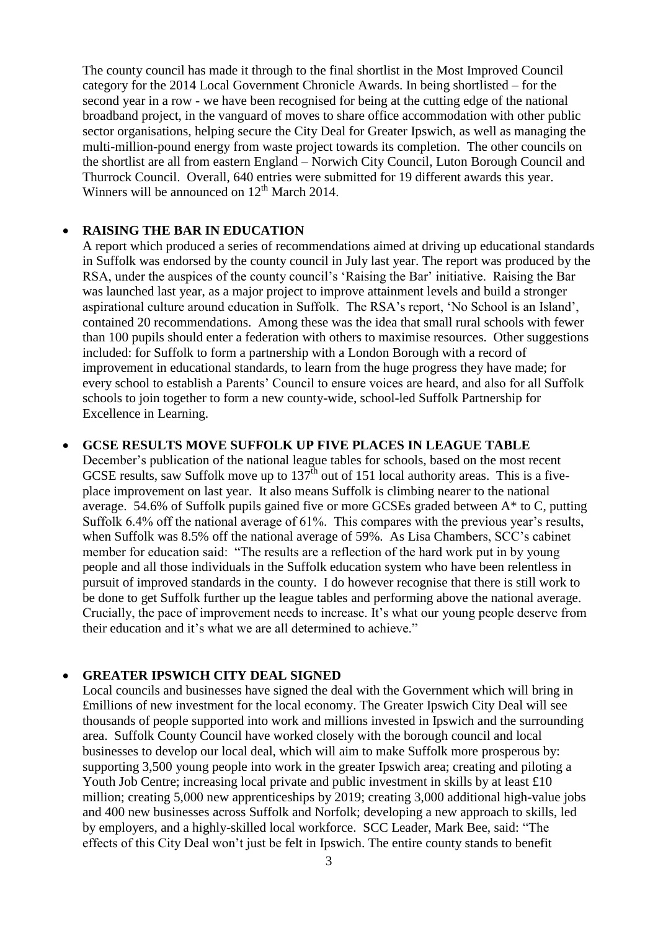The county council has made it through to the final shortlist in the Most Improved Council category for the 2014 Local Government Chronicle Awards. In being shortlisted – for the second year in a row - we have been recognised for being at the cutting edge of the national broadband project, in the vanguard of moves to share office accommodation with other public sector organisations, helping secure the City Deal for Greater Ipswich, as well as managing the multi-million-pound energy from waste project towards its completion. The other councils on the shortlist are all from eastern England – Norwich City Council, Luton Borough Council and Thurrock Council. Overall, 640 entries were submitted for 19 different awards this year. Winners will be announced on  $12<sup>th</sup>$  March 2014.

#### **RAISING THE BAR IN EDUCATION**

A report which produced a series of recommendations aimed at driving up educational standards in Suffolk was endorsed by the county council in July last year. The report was produced by the RSA, under the auspices of the county council's 'Raising the Bar' initiative. Raising the Bar was launched last year, as a major project to improve attainment levels and build a stronger aspirational culture around education in Suffolk. The RSA's report, 'No School is an Island', contained 20 recommendations. Among these was the idea that small rural schools with fewer than 100 pupils should enter a federation with others to maximise resources. Other suggestions included: for Suffolk to form a partnership with a London Borough with a record of improvement in educational standards, to learn from the huge progress they have made; for every school to establish a Parents' Council to ensure voices are heard, and also for all Suffolk schools to join together to form a new county-wide, school-led Suffolk Partnership for Excellence in Learning.

#### **GCSE RESULTS MOVE SUFFOLK UP FIVE PLACES IN LEAGUE TABLE**

December's publication of the national league tables for schools, based on the most recent GCSE results, saw Suffolk move up to  $137<sup>th</sup>$  out of 151 local authority areas. This is a fiveplace improvement on last year. It also means Suffolk is climbing nearer to the national average. 54.6% of Suffolk pupils gained five or more GCSEs graded between A\* to C, putting Suffolk 6.4% off the national average of 61%. This compares with the previous year's results, when Suffolk was 8.5% off the national average of 59%. As Lisa Chambers, SCC's cabinet member for education said: "The results are a reflection of the hard work put in by young people and all those individuals in the Suffolk education system who have been relentless in pursuit of improved standards in the county. I do however recognise that there is still work to be done to get Suffolk further up the league tables and performing above the national average. Crucially, the pace of improvement needs to increase. It's what our young people deserve from their education and it's what we are all determined to achieve."

#### **GREATER IPSWICH CITY DEAL SIGNED**

Local councils and businesses have signed the deal with the Government which will bring in £millions of new investment for the local economy. The Greater Ipswich City Deal will see thousands of people supported into work and millions invested in Ipswich and the surrounding area. Suffolk County Council have worked closely with the borough council and local businesses to develop our local deal, which will aim to make Suffolk more prosperous by: supporting 3,500 young people into work in the greater Ipswich area; creating and piloting a Youth Job Centre; increasing local private and public investment in skills by at least £10 million; creating 5,000 new apprenticeships by 2019; creating 3,000 additional high-value jobs and 400 new businesses across Suffolk and Norfolk; developing a new approach to skills, led by employers, and a highly-skilled local workforce. SCC Leader, Mark Bee, said: "The effects of this City Deal won't just be felt in Ipswich. The entire county stands to benefit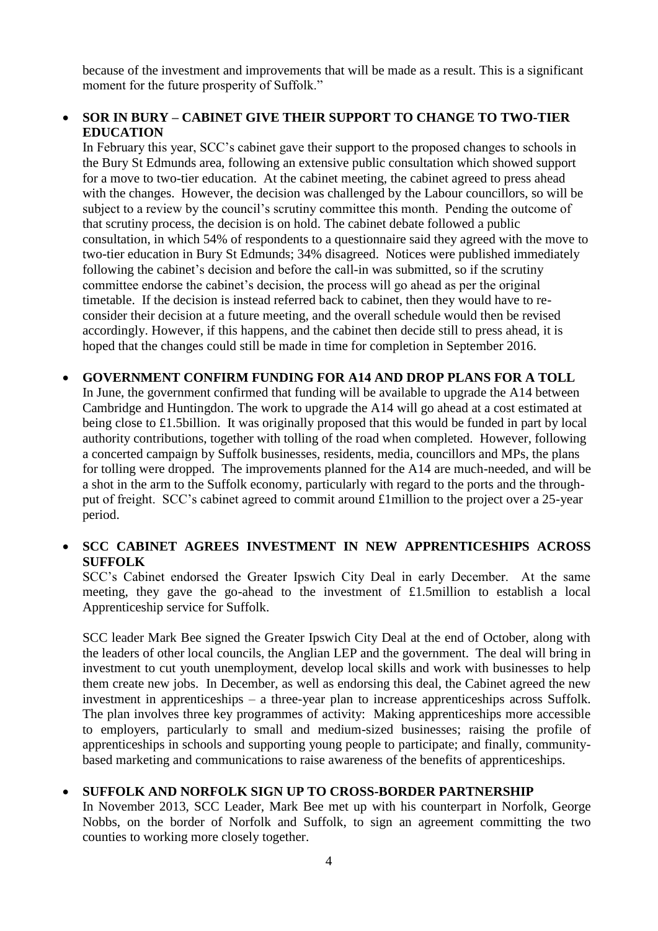because of the investment and improvements that will be made as a result. This is a significant moment for the future prosperity of Suffolk."

## **SOR IN BURY – CABINET GIVE THEIR SUPPORT TO CHANGE TO TWO-TIER EDUCATION**

In February this year, SCC's cabinet gave their support to the proposed changes to schools in the Bury St Edmunds area, following an extensive public consultation which showed support for a move to two-tier education. At the cabinet meeting, the cabinet agreed to press ahead with the changes. However, the decision was challenged by the Labour councillors, so will be subject to a review by the council's scrutiny committee this month. Pending the outcome of that scrutiny process, the decision is on hold. The cabinet debate followed a public consultation, in which 54% of respondents to a questionnaire said they agreed with the move to two-tier education in Bury St Edmunds; 34% disagreed. Notices were published immediately following the cabinet's decision and before the call-in was submitted, so if the scrutiny committee endorse the cabinet's decision, the process will go ahead as per the original timetable. If the decision is instead referred back to cabinet, then they would have to reconsider their decision at a future meeting, and the overall schedule would then be revised accordingly. However, if this happens, and the cabinet then decide still to press ahead, it is hoped that the changes could still be made in time for completion in September 2016.

# **GOVERNMENT CONFIRM FUNDING FOR A14 AND DROP PLANS FOR A TOLL**

In June, the government confirmed that funding will be available to upgrade the A14 between Cambridge and Huntingdon. The work to upgrade the A14 will go ahead at a cost estimated at being close to £1.5billion. It was originally proposed that this would be funded in part by local authority contributions, together with tolling of the road when completed. However, following a concerted campaign by Suffolk businesses, residents, media, councillors and MPs, the plans for tolling were dropped. The improvements planned for the A14 are much-needed, and will be a shot in the arm to the Suffolk economy, particularly with regard to the ports and the throughput of freight. SCC's cabinet agreed to commit around £1million to the project over a 25-year period.

# **SCC CABINET AGREES INVESTMENT IN NEW APPRENTICESHIPS ACROSS SUFFOLK**

SCC's Cabinet endorsed the Greater Ipswich City Deal in early December. At the same meeting, they gave the go-ahead to the investment of £1.5million to establish a local Apprenticeship service for Suffolk.

SCC leader Mark Bee signed the Greater Ipswich City Deal at the end of October, along with the leaders of other local councils, the Anglian LEP and the government. The deal will bring in investment to cut youth unemployment, develop local skills and work with businesses to help them create new jobs. In December, as well as endorsing this deal, the Cabinet agreed the new investment in apprenticeships – a three-year plan to increase apprenticeships across Suffolk. The plan involves three key programmes of activity: Making apprenticeships more accessible to employers, particularly to small and medium-sized businesses; raising the profile of apprenticeships in schools and supporting young people to participate; and finally, communitybased marketing and communications to raise awareness of the benefits of apprenticeships.

## **SUFFOLK AND NORFOLK SIGN UP TO CROSS-BORDER PARTNERSHIP**

In November 2013, SCC Leader, Mark Bee met up with his counterpart in Norfolk, George Nobbs, on the border of Norfolk and Suffolk, to sign an agreement committing the two counties to working more closely together.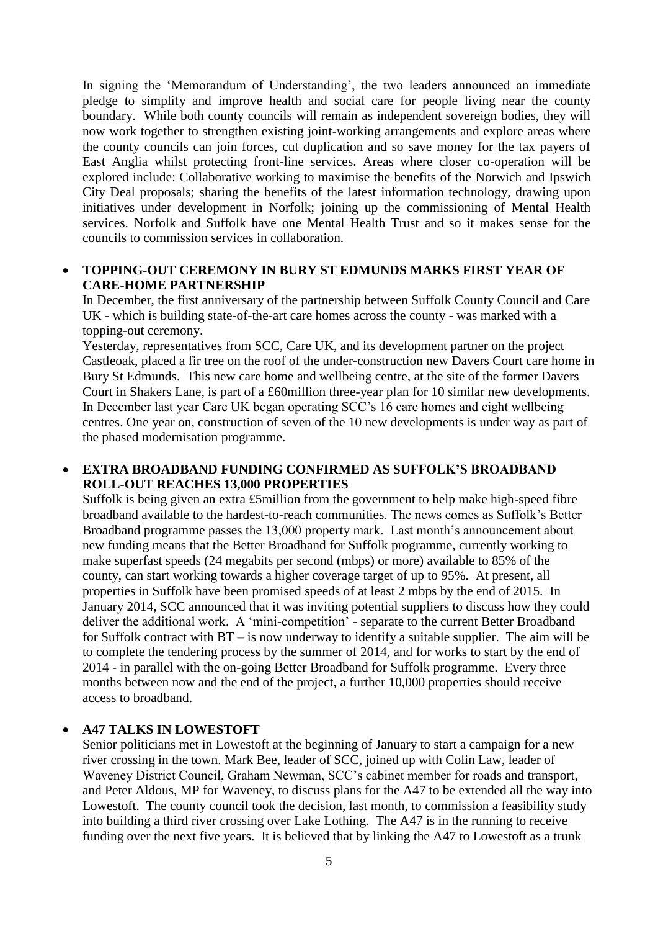In signing the 'Memorandum of Understanding', the two leaders announced an immediate pledge to simplify and improve health and social care for people living near the county boundary. While both county councils will remain as independent sovereign bodies, they will now work together to strengthen existing joint-working arrangements and explore areas where the county councils can join forces, cut duplication and so save money for the tax payers of East Anglia whilst protecting front-line services. Areas where closer co-operation will be explored include: Collaborative working to maximise the benefits of the Norwich and Ipswich City Deal proposals; sharing the benefits of the latest information technology, drawing upon initiatives under development in Norfolk; joining up the commissioning of Mental Health services. Norfolk and Suffolk have one Mental Health Trust and so it makes sense for the councils to commission services in collaboration.

#### **TOPPING-OUT CEREMONY IN BURY ST EDMUNDS MARKS FIRST YEAR OF CARE-HOME PARTNERSHIP**

In December, the first anniversary of the partnership between Suffolk County Council and Care UK - which is building state-of-the-art care homes across the county - was marked with a topping-out ceremony.

Yesterday, representatives from SCC, Care UK, and its development partner on the project Castleoak, placed a fir tree on the roof of the under-construction new Davers Court care home in Bury St Edmunds. This new care home and wellbeing centre, at the site of the former Davers Court in Shakers Lane, is part of a £60million three-year plan for 10 similar new developments. In December last year Care UK began operating SCC's 16 care homes and eight wellbeing centres. One year on, construction of seven of the 10 new developments is under way as part of the phased modernisation programme.

#### **EXTRA BROADBAND FUNDING CONFIRMED AS SUFFOLK'S BROADBAND ROLL-OUT REACHES 13,000 PROPERTIES**

Suffolk is being given an extra £5million from the government to help make high-speed fibre broadband available to the hardest-to-reach communities. The news comes as Suffolk's Better Broadband programme passes the 13,000 property mark. Last month's announcement about new funding means that the Better Broadband for Suffolk programme, currently working to make superfast speeds (24 megabits per second (mbps) or more) available to 85% of the county, can start working towards a higher coverage target of up to 95%. At present, all properties in Suffolk have been promised speeds of at least 2 mbps by the end of 2015. In January 2014, SCC announced that it was inviting potential suppliers to discuss how they could deliver the additional work. A 'mini-competition' - separate to the current Better Broadband for Suffolk contract with BT – is now underway to identify a suitable supplier. The aim will be to complete the tendering process by the summer of 2014, and for works to start by the end of 2014 - in parallel with the on-going Better Broadband for Suffolk programme. Every three months between now and the end of the project, a further 10,000 properties should receive access to broadband.

#### **A47 TALKS IN LOWESTOFT**

Senior politicians met in Lowestoft at the beginning of January to start a campaign for a new river crossing in the town. Mark Bee, leader of SCC, joined up with Colin Law, leader of Waveney District Council, Graham Newman, SCC's cabinet member for roads and transport, and Peter Aldous, MP for Waveney, to discuss plans for the A47 to be extended all the way into Lowestoft. The county council took the decision, last month, to commission a feasibility study into building a third river crossing over Lake Lothing. The A47 is in the running to receive funding over the next five years. It is believed that by linking the A47 to Lowestoft as a trunk